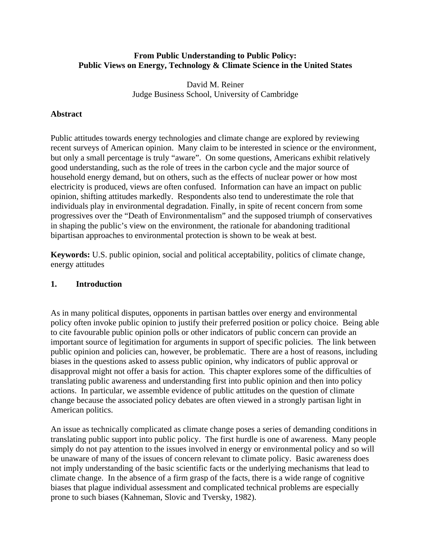### **From Public Understanding to Public Policy: Public Views on Energy, Technology & Climate Science in the United States**

David M. Reiner Judge Business School, University of Cambridge

### **Abstract**

Public attitudes towards energy technologies and climate change are explored by reviewing recent surveys of American opinion. Many claim to be interested in science or the environment, but only a small percentage is truly "aware". On some questions, Americans exhibit relatively good understanding, such as the role of trees in the carbon cycle and the major source of household energy demand, but on others, such as the effects of nuclear power or how most electricity is produced, views are often confused. Information can have an impact on public opinion, shifting attitudes markedly. Respondents also tend to underestimate the role that individuals play in environmental degradation. Finally, in spite of recent concern from some progressives over the "Death of Environmentalism" and the supposed triumph of conservatives in shaping the public's view on the environment, the rationale for abandoning traditional bipartisan approaches to environmental protection is shown to be weak at best.

**Keywords:** U.S. public opinion, social and political acceptability, politics of climate change, energy attitudes

#### **1. Introduction**

As in many political disputes, opponents in partisan battles over energy and environmental policy often invoke public opinion to justify their preferred position or policy choice. Being able to cite favourable public opinion polls or other indicators of public concern can provide an important source of legitimation for arguments in support of specific policies. The link between public opinion and policies can, however, be problematic. There are a host of reasons, including biases in the questions asked to assess public opinion, why indicators of public approval or disapproval might not offer a basis for action. This chapter explores some of the difficulties of translating public awareness and understanding first into public opinion and then into policy actions. In particular, we assemble evidence of public attitudes on the question of climate change because the associated policy debates are often viewed in a strongly partisan light in American politics.

An issue as technically complicated as climate change poses a series of demanding conditions in translating public support into public policy. The first hurdle is one of awareness. Many people simply do not pay attention to the issues involved in energy or environmental policy and so will be unaware of many of the issues of concern relevant to climate policy. Basic awareness does not imply understanding of the basic scientific facts or the underlying mechanisms that lead to climate change. In the absence of a firm grasp of the facts, there is a wide range of cognitive biases that plague individual assessment and complicated technical problems are especially prone to such biases (Kahneman, Slovic and Tversky, 1982).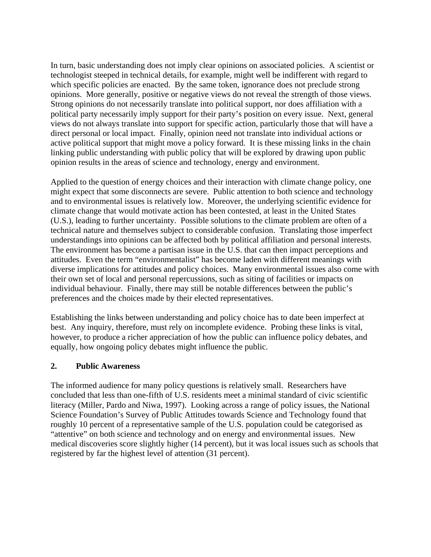In turn, basic understanding does not imply clear opinions on associated policies. A scientist or technologist steeped in technical details, for example, might well be indifferent with regard to which specific policies are enacted. By the same token, ignorance does not preclude strong opinions. More generally, positive or negative views do not reveal the strength of those views. Strong opinions do not necessarily translate into political support, nor does affiliation with a political party necessarily imply support for their party's position on every issue. Next, general views do not always translate into support for specific action, particularly those that will have a direct personal or local impact. Finally, opinion need not translate into individual actions or active political support that might move a policy forward. It is these missing links in the chain linking public understanding with public policy that will be explored by drawing upon public opinion results in the areas of science and technology, energy and environment.

Applied to the question of energy choices and their interaction with climate change policy, one might expect that some disconnects are severe. Public attention to both science and technology and to environmental issues is relatively low. Moreover, the underlying scientific evidence for climate change that would motivate action has been contested, at least in the United States (U.S.), leading to further uncertainty. Possible solutions to the climate problem are often of a technical nature and themselves subject to considerable confusion. Translating those imperfect understandings into opinions can be affected both by political affiliation and personal interests. The environment has become a partisan issue in the U.S. that can then impact perceptions and attitudes. Even the term "environmentalist" has become laden with different meanings with diverse implications for attitudes and policy choices. Many environmental issues also come with their own set of local and personal repercussions, such as siting of facilities or impacts on individual behaviour. Finally, there may still be notable differences between the public's preferences and the choices made by their elected representatives.

Establishing the links between understanding and policy choice has to date been imperfect at best. Any inquiry, therefore, must rely on incomplete evidence. Probing these links is vital, however, to produce a richer appreciation of how the public can influence policy debates, and equally, how ongoing policy debates might influence the public.

#### **2. Public Awareness**

The informed audience for many policy questions is relatively small. Researchers have concluded that less than one-fifth of U.S. residents meet a minimal standard of civic scientific literacy (Miller, Pardo and Niwa, 1997). Looking across a range of policy issues, the National Science Foundation's Survey of Public Attitudes towards Science and Technology found that roughly 10 percent of a representative sample of the U.S. population could be categorised as "attentive" on both science and technology and on energy and environmental issues. New medical discoveries score slightly higher (14 percent), but it was local issues such as schools that registered by far the highest level of attention (31 percent).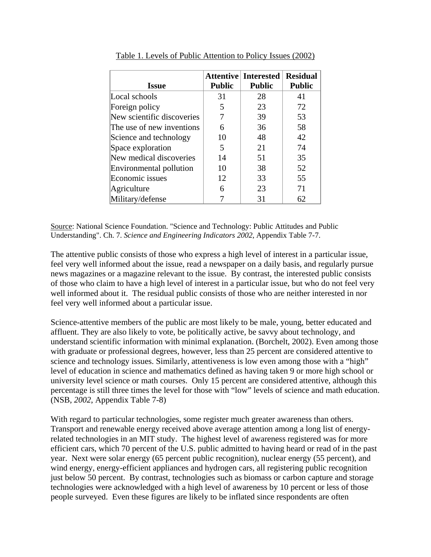| <b>Issue</b>               | <b>Public</b> | <b>Attentive Interested</b><br><b>Public</b> | <b>Residual</b><br><b>Public</b> |
|----------------------------|---------------|----------------------------------------------|----------------------------------|
| Local schools              | 31            | 28                                           | 41                               |
| Foreign policy             | 5             | 23                                           | 72                               |
| New scientific discoveries |               | 39                                           | 53                               |
| The use of new inventions  | 6             | 36                                           | 58                               |
| Science and technology     | 10            | 48                                           | 42                               |
| Space exploration          | 5             | 21                                           | 74                               |
| New medical discoveries    | 14            | 51                                           | 35                               |
| Environmental pollution    | 10            | 38                                           | 52                               |
| Economic issues            | 12            | 33                                           | 55                               |
| Agriculture                | 6             | 23                                           | 71                               |
| Military/defense           |               | 31                                           | 62                               |

Table 1. Levels of Public Attention to Policy Issues (2002)

Source: National Science Foundation. "Science and Technology: Public Attitudes and Public Understanding". Ch. 7. *Science and Engineering Indicators 2002*, Appendix Table 7-7.

The attentive public consists of those who express a high level of interest in a particular issue, feel very well informed about the issue, read a newspaper on a daily basis, and regularly pursue news magazines or a magazine relevant to the issue. By contrast, the interested public consists of those who claim to have a high level of interest in a particular issue, but who do not feel very well informed about it. The residual public consists of those who are neither interested in nor feel very well informed about a particular issue.

Science-attentive members of the public are most likely to be male, young, better educated and affluent. They are also likely to vote, be politically active, be savvy about technology, and understand scientific information with minimal explanation. (Borchelt, 2002). Even among those with graduate or professional degrees, however, less than 25 percent are considered attentive to science and technology issues. Similarly, attentiveness is low even among those with a "high" level of education in science and mathematics defined as having taken 9 or more high school or university level science or math courses. Only 15 percent are considered attentive, although this percentage is still three times the level for those with "low" levels of science and math education. (NSB, *2002*, Appendix Table 7-8)

With regard to particular technologies, some register much greater awareness than others. Transport and renewable energy received above average attention among a long list of energyrelated technologies in an MIT study. The highest level of awareness registered was for more efficient cars, which 70 percent of the U.S. public admitted to having heard or read of in the past year. Next were solar energy (65 percent public recognition), nuclear energy (55 percent), and wind energy, energy-efficient appliances and hydrogen cars, all registering public recognition just below 50 percent. By contrast, technologies such as biomass or carbon capture and storage technologies were acknowledged with a high level of awareness by 10 percent or less of those people surveyed. Even these figures are likely to be inflated since respondents are often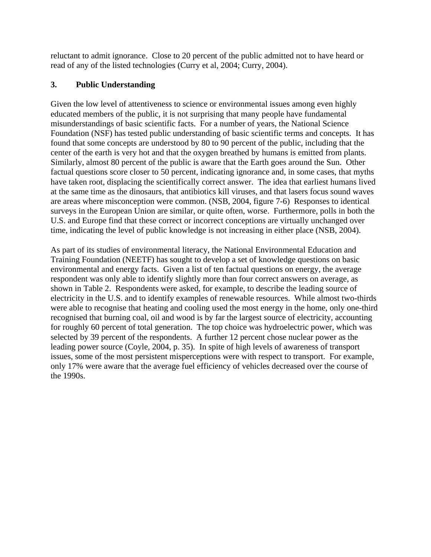reluctant to admit ignorance. Close to 20 percent of the public admitted not to have heard or read of any of the listed technologies (Curry et al, 2004; Curry, 2004).

### **3. Public Understanding**

Given the low level of attentiveness to science or environmental issues among even highly educated members of the public, it is not surprising that many people have fundamental misunderstandings of basic scientific facts. For a number of years, the National Science Foundation (NSF) has tested public understanding of basic scientific terms and concepts. It has found that some concepts are understood by 80 to 90 percent of the public, including that the center of the earth is very hot and that the oxygen breathed by humans is emitted from plants. Similarly, almost 80 percent of the public is aware that the Earth goes around the Sun. Other factual questions score closer to 50 percent, indicating ignorance and, in some cases, that myths have taken root, displacing the scientifically correct answer. The idea that earliest humans lived at the same time as the dinosaurs, that antibiotics kill viruses, and that lasers focus sound waves are areas where misconception were common. (NSB, 2004, figure 7-6) Responses to identical surveys in the European Union are similar, or quite often, worse. Furthermore, polls in both the U.S. and Europe find that these correct or incorrect conceptions are virtually unchanged over time, indicating the level of public knowledge is not increasing in either place (NSB, 2004).

As part of its studies of environmental literacy, the National Environmental Education and Training Foundation (NEETF) has sought to develop a set of knowledge questions on basic environmental and energy facts. Given a list of ten factual questions on energy, the average respondent was only able to identify slightly more than four correct answers on average, as shown in Table 2. Respondents were asked, for example, to describe the leading source of electricity in the U.S. and to identify examples of renewable resources. While almost two-thirds were able to recognise that heating and cooling used the most energy in the home, only one-third recognised that burning coal, oil and wood is by far the largest source of electricity, accounting for roughly 60 percent of total generation. The top choice was hydroelectric power, which was selected by 39 percent of the respondents. A further 12 percent chose nuclear power as the leading power source (Coyle, 2004, p. 35). In spite of high levels of awareness of transport issues, some of the most persistent misperceptions were with respect to transport. For example, only 17% were aware that the average fuel efficiency of vehicles decreased over the course of the 1990s.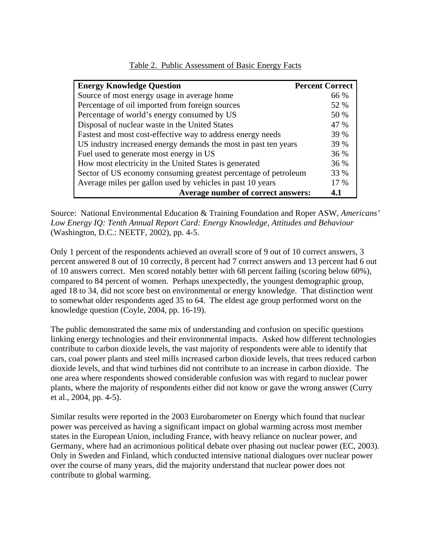| <b>Energy Knowledge Question</b>                                | <b>Percent Correct</b> |
|-----------------------------------------------------------------|------------------------|
| Source of most energy usage in average home                     | 66 %                   |
| Percentage of oil imported from foreign sources                 | 52 %                   |
| Percentage of world's energy consumed by US                     | 50 %                   |
| Disposal of nuclear waste in the United States                  | 47 %                   |
| Fastest and most cost-effective way to address energy needs     | 39 %                   |
| US industry increased energy demands the most in past ten years | 39 %                   |
| Fuel used to generate most energy in US                         | 36 %                   |
| How most electricity in the United States is generated          | 36 %                   |
| Sector of US economy consuming greatest percentage of petroleum | 33 %                   |
| Average miles per gallon used by vehicles in past 10 years      | 17 %                   |
| Average number of correct answers:                              | 4.1                    |

#### Table 2. Public Assessment of Basic Energy Facts

Source: National Environmental Education & Training Foundation and Roper ASW, *Americans' Low Energy IQ: Tenth Annual Report Card: Energy Knowledge, Attitudes and Behaviour*  (Washington, D.C.: NEETF, 2002), pp. 4-5.

Only 1 percent of the respondents achieved an overall score of 9 out of 10 correct answers, 3 percent answered 8 out of 10 correctly, 8 percent had 7 correct answers and 13 percent had 6 out of 10 answers correct. Men scored notably better with 68 percent failing (scoring below 60%), compared to 84 percent of women. Perhaps unexpectedly, the youngest demographic group, aged 18 to 34, did not score best on environmental or energy knowledge. That distinction went to somewhat older respondents aged 35 to 64. The eldest age group performed worst on the knowledge question (Coyle, 2004, pp. 16-19).

The public demonstrated the same mix of understanding and confusion on specific questions linking energy technologies and their environmental impacts. Asked how different technologies contribute to carbon dioxide levels, the vast majority of respondents were able to identify that cars, coal power plants and steel mills increased carbon dioxide levels, that trees reduced carbon dioxide levels, and that wind turbines did not contribute to an increase in carbon dioxide. The one area where respondents showed considerable confusion was with regard to nuclear power plants, where the majority of respondents either did not know or gave the wrong answer (Curry et al., 2004, pp. 4-5).

Similar results were reported in the 2003 Eurobarometer on Energy which found that nuclear power was perceived as having a significant impact on global warming across most member states in the European Union, including France, with heavy reliance on nuclear power, and Germany, where had an acrimonious political debate over phasing out nuclear power (EC, 2003). Only in Sweden and Finland, which conducted intensive national dialogues over nuclear power over the course of many years, did the majority understand that nuclear power does not contribute to global warming.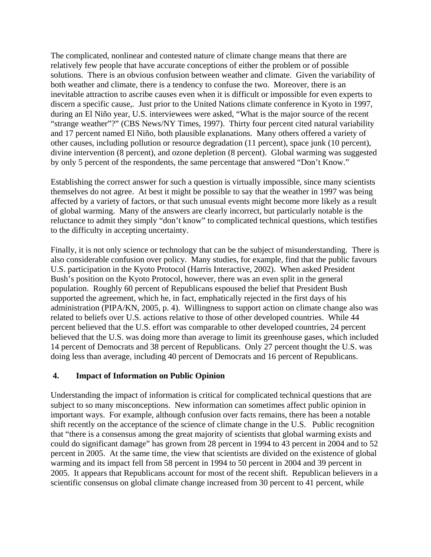The complicated, nonlinear and contested nature of climate change means that there are relatively few people that have accurate conceptions of either the problem or of possible solutions. There is an obvious confusion between weather and climate. Given the variability of both weather and climate, there is a tendency to confuse the two. Moreover, there is an inevitable attraction to ascribe causes even when it is difficult or impossible for even experts to discern a specific cause,. Just prior to the United Nations climate conference in Kyoto in 1997, during an El Niño year, U.S. interviewees were asked, "What is the major source of the recent "strange weather"?" (CBS News/NY Times, 1997). Thirty four percent cited natural variability and 17 percent named El Niño, both plausible explanations. Many others offered a variety of other causes, including pollution or resource degradation (11 percent), space junk (10 percent), divine intervention (8 percent), and ozone depletion (8 percent). Global warming was suggested by only 5 percent of the respondents, the same percentage that answered "Don't Know."

Establishing the correct answer for such a question is virtually impossible, since many scientists themselves do not agree. At best it might be possible to say that the weather in 1997 was being affected by a variety of factors, or that such unusual events might become more likely as a result of global warming. Many of the answers are clearly incorrect, but particularly notable is the reluctance to admit they simply "don't know" to complicated technical questions, which testifies to the difficulty in accepting uncertainty.

Finally, it is not only science or technology that can be the subject of misunderstanding. There is also considerable confusion over policy. Many studies, for example, find that the public favours U.S. participation in the Kyoto Protocol (Harris Interactive, 2002). When asked President Bush's position on the Kyoto Protocol, however, there was an even split in the general population. Roughly 60 percent of Republicans espoused the belief that President Bush supported the agreement, which he, in fact, emphatically rejected in the first days of his administration (PIPA/KN, 2005, p. 4). Willingness to support action on climate change also was related to beliefs over U.S. actions relative to those of other developed countries. While 44 percent believed that the U.S. effort was comparable to other developed countries, 24 percent believed that the U.S. was doing more than average to limit its greenhouse gases, which included 14 percent of Democrats and 38 percent of Republicans. Only 27 percent thought the U.S. was doing less than average, including 40 percent of Democrats and 16 percent of Republicans.

#### **4. Impact of Information on Public Opinion**

Understanding the impact of information is critical for complicated technical questions that are subject to so many misconceptions. New information can sometimes affect public opinion in important ways. For example, although confusion over facts remains, there has been a notable shift recently on the acceptance of the science of climate change in the U.S. Public recognition that "there is a consensus among the great majority of scientists that global warming exists and could do significant damage" has grown from 28 percent in 1994 to 43 percent in 2004 and to 52 percent in 2005. At the same time, the view that scientists are divided on the existence of global warming and its impact fell from 58 percent in 1994 to 50 percent in 2004 and 39 percent in 2005. It appears that Republicans account for most of the recent shift. Republican believers in a scientific consensus on global climate change increased from 30 percent to 41 percent, while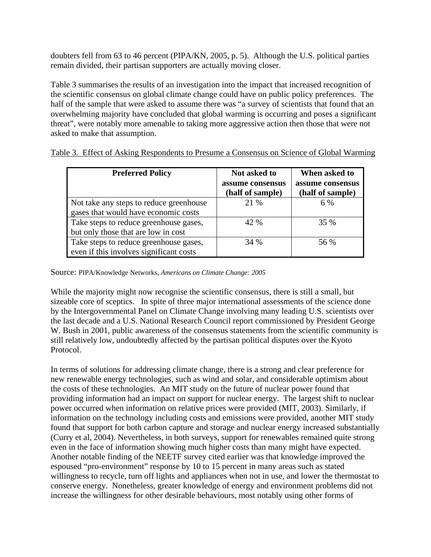doubters fell from 63 to 46 percent (PIPA/KN, 2005, p. 5). Although the U.S. political parties remain divided, their partisan supporters are actually moving closer.

Table 3 summarises the results of an investigation into the impact that increased recognition of the scientific consensus on global climate change could have on public policy preferences. The half of the sample that were asked to assume there was "a survey of scientists that found that an overwhelming majority have concluded that global warming is occurring and poses a significant threat", were notably more amenable to taking more aggressive action then those that were not asked to make that assumption.

| <b>Preferred Policy</b>                                                           | Not asked to<br>assume consensus<br>(half of sample) | When asked to<br>assume consensus<br>(half of sample) |
|-----------------------------------------------------------------------------------|------------------------------------------------------|-------------------------------------------------------|
| Not take any steps to reduce greenhouse<br>gases that would have economic costs   | 21 %                                                 | 6 %                                                   |
| Take steps to reduce greenhouse gases,<br>but only those that are low in cost     | 42 %                                                 | 35 %                                                  |
| Take steps to reduce greenhouse gases,<br>even if this involves significant costs | 34 %                                                 | 56 %                                                  |

Table 3. Effect of Asking Respondents to Presume a Consensus on Science of Global Warming

Source: PIPA/Knowledge Networks, *Americans on Climate Change: 2005*

While the majority might now recognise the scientific consensus, there is still a small, but sizeable core of sceptics. In spite of three major international assessments of the science done by the Intergovernmental Panel on Climate Change involving many leading U.S. scientists over the last decade and a U.S. National Research Council report commissioned by President George W. Bush in 2001, public awareness of the consensus statements from the scientific community is still relatively low, undoubtedly affected by the partisan political disputes over the Kyoto Protocol.

In terms of solutions for addressing climate change, there is a strong and clear preference for new renewable energy technologies, such as wind and solar, and considerable optimism about the costs of these technologies. An MIT study on the future of nuclear power found that providing information had an impact on support for nuclear energy. The largest shift to nuclear power occurred when information on relative prices were provided (MIT, 2003). Similarly, if information on the technology including costs and emissions were provided, another MIT study found that support for both carbon capture and storage and nuclear energy increased substantially (Curry et al, 2004). Nevertheless, in both surveys, support for renewables remained quite strong even in the face of information showing much higher costs than many might have expected. Another notable finding of the NEETF survey cited earlier was that knowledge improved the espoused "pro-environment" response by 10 to 15 percent in many areas such as stated willingness to recycle, turn off lights and appliances when not in use, and lower the thermostat to conserve energy. Nonetheless, greater knowledge of energy and environment problems did not increase the willingness for other desirable behaviours, most notably using other forms of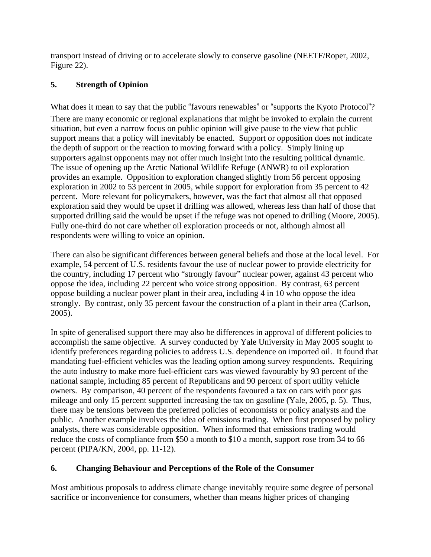transport instead of driving or to accelerate slowly to conserve gasoline (NEETF/Roper, 2002, Figure 22).

# **5. Strength of Opinion**

What does it mean to say that the public "favours renewables" or "supports the Kyoto Protocol"? There are many economic or regional explanations that might be invoked to explain the current situation, but even a narrow focus on public opinion will give pause to the view that public support means that a policy will inevitably be enacted. Support or opposition does not indicate the depth of support or the reaction to moving forward with a policy. Simply lining up supporters against opponents may not offer much insight into the resulting political dynamic. The issue of opening up the Arctic National Wildlife Refuge (ANWR) to oil exploration provides an example. Opposition to exploration changed slightly from 56 percent opposing exploration in 2002 to 53 percent in 2005, while support for exploration from 35 percent to 42 percent. More relevant for policymakers, however, was the fact that almost all that opposed exploration said they would be upset if drilling was allowed, whereas less than half of those that supported drilling said the would be upset if the refuge was not opened to drilling (Moore, 2005). Fully one-third do not care whether oil exploration proceeds or not, although almost all respondents were willing to voice an opinion.

There can also be significant differences between general beliefs and those at the local level. For example, 54 percent of U.S. residents favour the use of nuclear power to provide electricity for the country, including 17 percent who "strongly favour" nuclear power, against 43 percent who oppose the idea, including 22 percent who voice strong opposition. By contrast, 63 percent oppose building a nuclear power plant in their area, including 4 in 10 who oppose the idea strongly. By contrast, only 35 percent favour the construction of a plant in their area (Carlson, 2005).

In spite of generalised support there may also be differences in approval of different policies to accomplish the same objective. A survey conducted by Yale University in May 2005 sought to identify preferences regarding policies to address U.S. dependence on imported oil. It found that mandating fuel-efficient vehicles was the leading option among survey respondents. Requiring the auto industry to make more fuel-efficient cars was viewed favourably by 93 percent of the national sample, including 85 percent of Republicans and 90 percent of sport utility vehicle owners. By comparison, 40 percent of the respondents favoured a tax on cars with poor gas mileage and only 15 percent supported increasing the tax on gasoline (Yale, 2005, p. 5). Thus, there may be tensions between the preferred policies of economists or policy analysts and the public. Another example involves the idea of emissions trading. When first proposed by policy analysts, there was considerable opposition. When informed that emissions trading would reduce the costs of compliance from \$50 a month to \$10 a month, support rose from 34 to 66 percent (PIPA/KN, 2004, pp. 11-12).

# **6. Changing Behaviour and Perceptions of the Role of the Consumer**

Most ambitious proposals to address climate change inevitably require some degree of personal sacrifice or inconvenience for consumers, whether than means higher prices of changing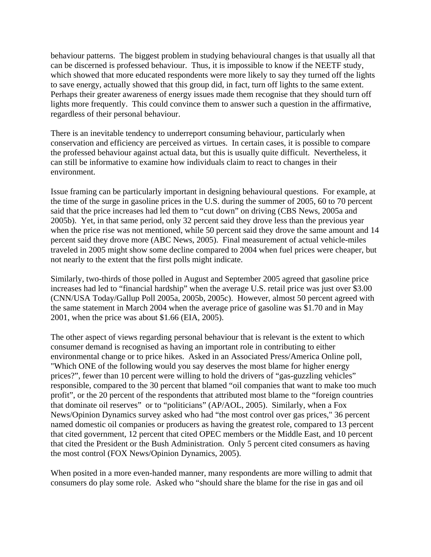behaviour patterns. The biggest problem in studying behavioural changes is that usually all that can be discerned is professed behaviour. Thus, it is impossible to know if the NEETF study, which showed that more educated respondents were more likely to say they turned off the lights to save energy, actually showed that this group did, in fact, turn off lights to the same extent. Perhaps their greater awareness of energy issues made them recognise that they should turn off lights more frequently. This could convince them to answer such a question in the affirmative, regardless of their personal behaviour.

There is an inevitable tendency to underreport consuming behaviour, particularly when conservation and efficiency are perceived as virtues. In certain cases, it is possible to compare the professed behaviour against actual data, but this is usually quite difficult. Nevertheless, it can still be informative to examine how individuals claim to react to changes in their environment.

Issue framing can be particularly important in designing behavioural questions. For example, at the time of the surge in gasoline prices in the U.S. during the summer of 2005, 60 to 70 percent said that the price increases had led them to "cut down" on driving (CBS News, 2005a and 2005b). Yet, in that same period, only 32 percent said they drove less than the previous year when the price rise was not mentioned, while 50 percent said they drove the same amount and 14 percent said they drove more (ABC News, 2005). Final measurement of actual vehicle-miles traveled in 2005 might show some decline compared to 2004 when fuel prices were cheaper, but not nearly to the extent that the first polls might indicate.

Similarly, two-thirds of those polled in August and September 2005 agreed that gasoline price increases had led to "financial hardship" when the average U.S. retail price was just over \$3.00 (CNN/USA Today/Gallup Poll 2005a, 2005b, 2005c). However, almost 50 percent agreed with the same statement in March 2004 when the average price of gasoline was \$1.70 and in May 2001, when the price was about \$1.66 (EIA, 2005).

The other aspect of views regarding personal behaviour that is relevant is the extent to which consumer demand is recognised as having an important role in contributing to either environmental change or to price hikes. Asked in an Associated Press/America Online poll, "Which ONE of the following would you say deserves the most blame for higher energy prices?", fewer than 10 percent were willing to hold the drivers of "gas-guzzling vehicles" responsible, compared to the 30 percent that blamed "oil companies that want to make too much profit", or the 20 percent of the respondents that attributed most blame to the "foreign countries that dominate oil reserves" or to "politicians" (AP/AOL, 2005). Similarly, when a Fox News/Opinion Dynamics survey asked who had "the most control over gas prices," 36 percent named domestic oil companies or producers as having the greatest role, compared to 13 percent that cited government, 12 percent that cited OPEC members or the Middle East, and 10 percent that cited the President or the Bush Administration. Only 5 percent cited consumers as having the most control (FOX News/Opinion Dynamics, 2005).

When posited in a more even-handed manner, many respondents are more willing to admit that consumers do play some role. Asked who "should share the blame for the rise in gas and oil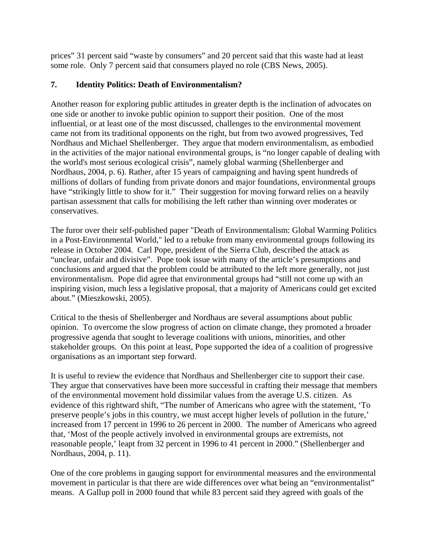prices" 31 percent said "waste by consumers" and 20 percent said that this waste had at least some role. Only 7 percent said that consumers played no role (CBS News, 2005).

## **7. Identity Politics: Death of Environmentalism?**

Another reason for exploring public attitudes in greater depth is the inclination of advocates on one side or another to invoke public opinion to support their position. One of the most influential, or at least one of the most discussed, challenges to the environmental movement came not from its traditional opponents on the right, but from two avowed progressives, Ted Nordhaus and Michael Shellenberger. They argue that modern environmentalism, as embodied in the activities of the major national environmental groups, is "no longer capable of dealing with the world's most serious ecological crisis", namely global warming (Shellenberger and Nordhaus, 2004, p. 6). Rather, after 15 years of campaigning and having spent hundreds of millions of dollars of funding from private donors and major foundations, environmental groups have "strikingly little to show for it." Their suggestion for moving forward relies on a heavily partisan assessment that calls for mobilising the left rather than winning over moderates or conservatives.

The furor over their self-published paper "Death of Environmentalism: Global Warming Politics in a Post-Environmental World," led to a rebuke from many environmental groups following its release in October 2004. Carl Pope, president of the Sierra Club, described the attack as "unclear, unfair and divisive". Pope took issue with many of the article's presumptions and conclusions and argued that the problem could be attributed to the left more generally, not just environmentalism. Pope did agree that environmental groups had "still not come up with an inspiring vision, much less a legislative proposal, that a majority of Americans could get excited about." (Mieszkowski, 2005).

Critical to the thesis of Shellenberger and Nordhaus are several assumptions about public opinion. To overcome the slow progress of action on climate change, they promoted a broader progressive agenda that sought to leverage coalitions with unions, minorities, and other stakeholder groups. On this point at least, Pope supported the idea of a coalition of progressive organisations as an important step forward.

It is useful to review the evidence that Nordhaus and Shellenberger cite to support their case. They argue that conservatives have been more successful in crafting their message that members of the environmental movement hold dissimilar values from the average U.S. citizen. As evidence of this rightward shift, "The number of Americans who agree with the statement, 'To preserve people's jobs in this country, we must accept higher levels of pollution in the future,' increased from 17 percent in 1996 to 26 percent in 2000. The number of Americans who agreed that, 'Most of the people actively involved in environmental groups are extremists, not reasonable people,' leapt from 32 percent in 1996 to 41 percent in 2000." (Shellenberger and Nordhaus, 2004, p. 11).

One of the core problems in gauging support for environmental measures and the environmental movement in particular is that there are wide differences over what being an "environmentalist" means. A Gallup poll in 2000 found that while 83 percent said they agreed with goals of the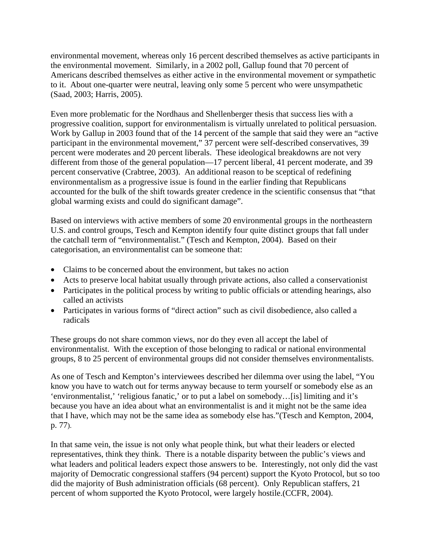environmental movement, whereas only 16 percent described themselves as active participants in the environmental movement. Similarly, in a 2002 poll, Gallup found that 70 percent of Americans described themselves as either active in the environmental movement or sympathetic to it. About one-quarter were neutral, leaving only some 5 percent who were unsympathetic (Saad, 2003; Harris, 2005).

Even more problematic for the Nordhaus and Shellenberger thesis that success lies with a progressive coalition, support for environmentalism is virtually unrelated to political persuasion. Work by Gallup in 2003 found that of the 14 percent of the sample that said they were an "active participant in the environmental movement," 37 percent were self-described conservatives, 39 percent were moderates and 20 percent liberals. These ideological breakdowns are not very different from those of the general population—17 percent liberal, 41 percent moderate, and 39 percent conservative (Crabtree, 2003). An additional reason to be sceptical of redefining environmentalism as a progressive issue is found in the earlier finding that Republicans accounted for the bulk of the shift towards greater credence in the scientific consensus that "that global warming exists and could do significant damage".

Based on interviews with active members of some 20 environmental groups in the northeastern U.S. and control groups, Tesch and Kempton identify four quite distinct groups that fall under the catchall term of "environmentalist." (Tesch and Kempton, 2004). Based on their categorisation, an environmentalist can be someone that:

- Claims to be concerned about the environment, but takes no action
- Acts to preserve local habitat usually through private actions, also called a conservationist
- Participates in the political process by writing to public officials or attending hearings, also called an activists
- Participates in various forms of "direct action" such as civil disobedience, also called a radicals

These groups do not share common views, nor do they even all accept the label of environmentalist. With the exception of those belonging to radical or national environmental groups, 8 to 25 percent of environmental groups did not consider themselves environmentalists.

As one of Tesch and Kempton's interviewees described her dilemma over using the label, "You know you have to watch out for terms anyway because to term yourself or somebody else as an 'environmentalist,' 'religious fanatic,' or to put a label on somebody…[is] limiting and it's because you have an idea about what an environmentalist is and it might not be the same idea that I have, which may not be the same idea as somebody else has."(Tesch and Kempton, 2004, p. 77).

In that same vein, the issue is not only what people think, but what their leaders or elected representatives, think they think. There is a notable disparity between the public's views and what leaders and political leaders expect those answers to be. Interestingly, not only did the vast majority of Democratic congressional staffers (94 percent) support the Kyoto Protocol, but so too did the majority of Bush administration officials (68 percent). Only Republican staffers, 21 percent of whom supported the Kyoto Protocol, were largely hostile.(CCFR, 2004).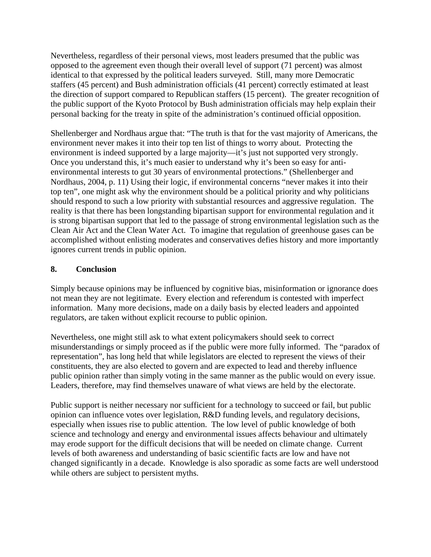Nevertheless, regardless of their personal views, most leaders presumed that the public was opposed to the agreement even though their overall level of support (71 percent) was almost identical to that expressed by the political leaders surveyed. Still, many more Democratic staffers (45 percent) and Bush administration officials (41 percent) correctly estimated at least the direction of support compared to Republican staffers (15 percent). The greater recognition of the public support of the Kyoto Protocol by Bush administration officials may help explain their personal backing for the treaty in spite of the administration's continued official opposition.

Shellenberger and Nordhaus argue that: "The truth is that for the vast majority of Americans, the environment never makes it into their top ten list of things to worry about. Protecting the environment is indeed supported by a large majority—it's just not supported very strongly. Once you understand this, it's much easier to understand why it's been so easy for antienvironmental interests to gut 30 years of environmental protections." (Shellenberger and Nordhaus, 2004, p. 11) Using their logic, if environmental concerns "never makes it into their top ten", one might ask why the environment should be a political priority and why politicians should respond to such a low priority with substantial resources and aggressive regulation. The reality is that there has been longstanding bipartisan support for environmental regulation and it is strong bipartisan support that led to the passage of strong environmental legislation such as the Clean Air Act and the Clean Water Act. To imagine that regulation of greenhouse gases can be accomplished without enlisting moderates and conservatives defies history and more importantly ignores current trends in public opinion.

## **8. Conclusion**

Simply because opinions may be influenced by cognitive bias, misinformation or ignorance does not mean they are not legitimate. Every election and referendum is contested with imperfect information. Many more decisions, made on a daily basis by elected leaders and appointed regulators, are taken without explicit recourse to public opinion.

Nevertheless, one might still ask to what extent policymakers should seek to correct misunderstandings or simply proceed as if the public were more fully informed. The "paradox of representation", has long held that while legislators are elected to represent the views of their constituents, they are also elected to govern and are expected to lead and thereby influence public opinion rather than simply voting in the same manner as the public would on every issue. Leaders, therefore, may find themselves unaware of what views are held by the electorate.

Public support is neither necessary nor sufficient for a technology to succeed or fail, but public opinion can influence votes over legislation, R&D funding levels, and regulatory decisions, especially when issues rise to public attention. The low level of public knowledge of both science and technology and energy and environmental issues affects behaviour and ultimately may erode support for the difficult decisions that will be needed on climate change. Current levels of both awareness and understanding of basic scientific facts are low and have not changed significantly in a decade. Knowledge is also sporadic as some facts are well understood while others are subject to persistent myths.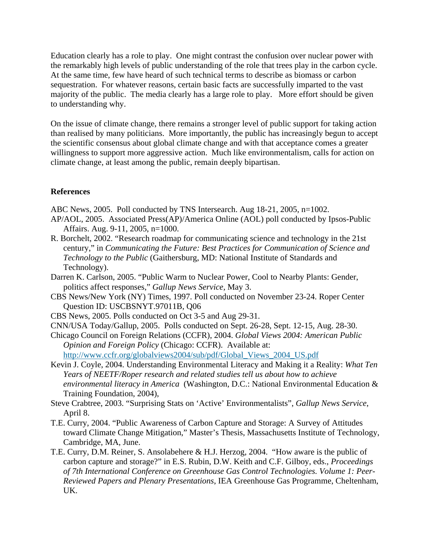Education clearly has a role to play. One might contrast the confusion over nuclear power with the remarkably high levels of public understanding of the role that trees play in the carbon cycle. At the same time, few have heard of such technical terms to describe as biomass or carbon sequestration. For whatever reasons, certain basic facts are successfully imparted to the vast majority of the public. The media clearly has a large role to play. More effort should be given to understanding why.

On the issue of climate change, there remains a stronger level of public support for taking action than realised by many politicians. More importantly, the public has increasingly begun to accept the scientific consensus about global climate change and with that acceptance comes a greater willingness to support more aggressive action. Much like environmentalism, calls for action on climate change, at least among the public, remain deeply bipartisan.

#### **References**

- ABC News, 2005. Poll conducted by TNS Intersearch. Aug 18-21, 2005, n=1002.
- AP/AOL, 2005. Associated Press(AP)/America Online (AOL) poll conducted by Ipsos-Public Affairs. Aug. 9-11, 2005, n=1000.
- R. Borchelt, 2002. "Research roadmap for communicating science and technology in the 21st century," in *Communicating the Future: Best Practices for Communication of Science and Technology to the Public* (Gaithersburg, MD: National Institute of Standards and Technology).
- Darren K. Carlson, 2005. "Public Warm to Nuclear Power, Cool to Nearby Plants: Gender, politics affect responses," *Gallup News Service,* May 3.
- CBS News/New York (NY) Times, 1997. Poll conducted on November 23-24. Roper Center Question ID: USCBSNYT.97011B, Q06
- CBS News, 2005. Polls conducted on Oct 3-5 and Aug 29-31.
- CNN/USA Today/Gallup, 2005. Polls conducted on Sept. 26-28, Sept. 12-15, Aug. 28-30.
- Chicago Council on Foreign Relations (CCFR), 2004. *Global Views 2004: American Public Opinion and Foreign Policy* (Chicago: CCFR). Available at: [http://www.ccfr.org/globalviews2004/sub/pdf/Global\\_Views\\_2004\\_US.pdf](http://www.ccfr.org/globalviews2004/sub/pdf/Global_Views_2004_US.pdf)
- Kevin J. Coyle, 2004. Understanding Environmental Literacy and Making it a Reality: *What Ten Years of NEETF/Roper research and related studies tell us about how to achieve environmental literacy in America* (Washington, D.C.: National Environmental Education & Training Foundation, 2004),
- Steve Crabtree, 2003. "Surprising Stats on 'Active' Environmentalists", *Gallup News Service*, April 8.
- T.E. Curry, 2004. "Public Awareness of Carbon Capture and Storage: A Survey of Attitudes toward Climate Change Mitigation," Master's Thesis, Massachusetts Institute of Technology, Cambridge, MA, June.
- T.E. Curry, D.M. Reiner, S. Ansolabehere & H.J. Herzog, 2004. "How aware is the public of carbon capture and storage?" in E.S. Rubin, D.W. Keith and C.F. Gilboy, eds., *Proceedings of 7th International Conference on Greenhouse Gas Control Technologies. Volume 1: Peer-Reviewed Papers and Plenary Presentations*, IEA Greenhouse Gas Programme, Cheltenham, UK.